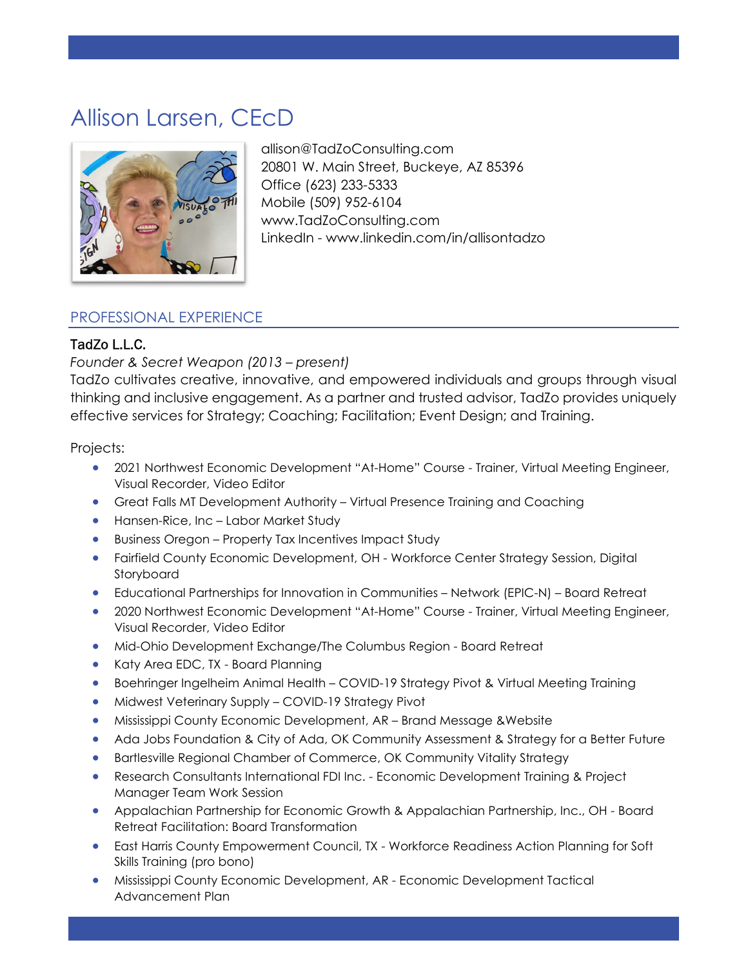# Allison Larsen, CEcD



allison@TadZoConsulting.com 20801 W. Main Street, Buckeye, AZ 85396 Office (623) 233-5333 Mobile (509) 952-6104 www.TadZoConsulting.com LinkedIn - www.linkedin.com/in/allisontadzo I

I

### PROFESSIONAL EXPERIENCE

#### TadZo L.L.C.

#### Founder & Secret Weapon (2013 – present)

TadZo cultivates creative, innovative, and empowered individuals and groups through visual thinking and inclusive engagement. As a partner and trusted advisor, TadZo provides uniquely effective services for Strategy; Coaching; Facilitation; Event Design; and Training.

Projects:

- 2021 Northwest Economic Development "At-Home" Course Trainer, Virtual Meeting Engineer, Visual Recorder, Video Editor
- Great Falls MT Development Authority Virtual Presence Training and Coaching
- Hansen-Rice, Inc Labor Market Study
- Business Oregon Property Tax Incentives Impact Study
- Fairfield County Economic Development, OH Workforce Center Strategy Session, Digital Storyboard
- Educational Partnerships for Innovation in Communities Network (EPIC-N) Board Retreat
- 2020 Northwest Economic Development "At-Home" Course Trainer, Virtual Meeting Engineer, Visual Recorder, Video Editor
- Mid-Ohio Development Exchange/The Columbus Region Board Retreat
- Katy Area EDC, TX Board Planning
- Boehringer Ingelheim Animal Health COVID-19 Strategy Pivot & Virtual Meeting Training
- Midwest Veterinary Supply COVID-19 Strategy Pivot
- Mississippi County Economic Development, AR Brand Message &Website
- Ada Jobs Foundation & City of Ada, OK Community Assessment & Strategy for a Better Future
- Bartlesville Regional Chamber of Commerce, OK Community Vitality Strategy
- Research Consultants International FDI Inc. Economic Development Training & Project Manager Team Work Session
- Appalachian Partnership for Economic Growth & Appalachian Partnership, Inc., OH Board Retreat Facilitation: Board Transformation
- East Harris County Empowerment Council, TX Workforce Readiness Action Planning for Soft Skills Training (pro bono)
- Mississippi County Economic Development, AR Economic Development Tactical Advancement Plan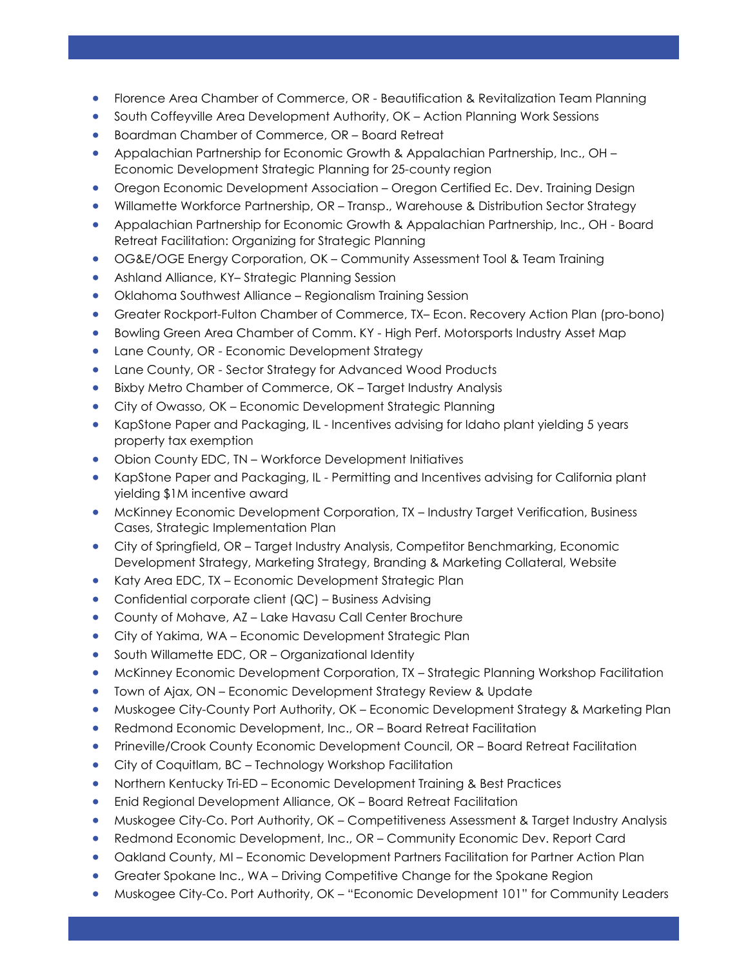Florence Area Chamber of Commerce, OR - Beautification & Revitalization Team Planning

I

I

- South Coffeyville Area Development Authority, OK Action Planning Work Sessions
- Boardman Chamber of Commerce, OR Board Retreat
- Appalachian Partnership for Economic Growth & Appalachian Partnership, Inc., OH Economic Development Strategic Planning for 25-county region
- Oregon Economic Development Association Oregon Certified Ec. Dev. Training Design
- Willamette Workforce Partnership, OR Transp., Warehouse & Distribution Sector Strategy
- Appalachian Partnership for Economic Growth & Appalachian Partnership, Inc., OH Board Retreat Facilitation: Organizing for Strategic Planning
- OG&E/OGE Energy Corporation, OK Community Assessment Tool & Team Training
- Ashland Alliance, KY-Strategic Planning Session
- Oklahoma Southwest Alliance Regionalism Training Session
- Greater Rockport-Fulton Chamber of Commerce, TX– Econ. Recovery Action Plan (pro-bono)
- Bowling Green Area Chamber of Comm. KY High Perf. Motorsports Industry Asset Map
- Lane County, OR Economic Development Strategy
- Lane County, OR Sector Strategy for Advanced Wood Products
- Bixby Metro Chamber of Commerce, OK Target Industry Analysis
- City of Owasso, OK Economic Development Strategic Planning
- KapStone Paper and Packaging, IL Incentives advising for Idaho plant yielding 5 years property tax exemption
- Obion County EDC, TN Workforce Development Initiatives
- KapStone Paper and Packaging, IL Permitting and Incentives advising for California plant yielding \$1M incentive award
- McKinney Economic Development Corporation, TX Industry Target Verification, Business Cases, Strategic Implementation Plan
- City of Springfield, OR Target Industry Analysis, Competitor Benchmarking, Economic Development Strategy, Marketing Strategy, Branding & Marketing Collateral, Website
- Katy Area EDC, TX Economic Development Strategic Plan
- Confidential corporate client (QC) Business Advising
- County of Mohave, AZ Lake Havasu Call Center Brochure
- City of Yakima, WA Economic Development Strategic Plan
- South Willamette EDC, OR Organizational Identity
- **•** McKinney Economic Development Corporation, TX Strategic Planning Workshop Facilitation
- Town of Ajax, ON Economic Development Strategy Review & Update
- Muskogee City-County Port Authority, OK Economic Development Strategy & Marketing Plan
- Redmond Economic Development, Inc., OR Board Retreat Facilitation
- Prineville/Crook County Economic Development Council, OR Board Retreat Facilitation
- City of Coquitlam, BC Technology Workshop Facilitation
- Northern Kentucky Tri-ED Economic Development Training & Best Practices
- Enid Regional Development Alliance, OK Board Retreat Facilitation
- Muskogee City-Co. Port Authority, OK Competitiveness Assessment & Target Industry Analysis
- Redmond Economic Development, Inc., OR Community Economic Dev. Report Card
- Oakland County, MI Economic Development Partners Facilitation for Partner Action Plan
- Greater Spokane Inc., WA Driving Competitive Change for the Spokane Region
- Muskogee City-Co. Port Authority, OK "Economic Development 101" for Community Leaders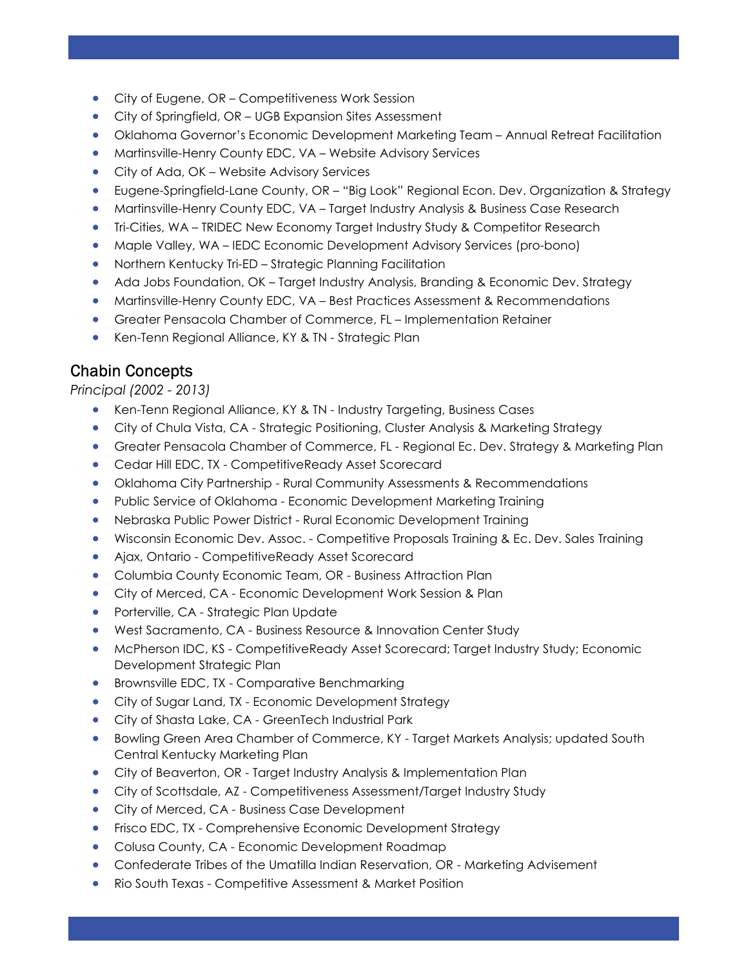- City of Eugene, OR Competitiveness Work Session
- City of Springfield, OR UGB Expansion Sites Assessment
- Oklahoma Governor's Economic Development Marketing Team Annual Retreat Facilitation

I

I

- Martinsville-Henry County EDC, VA Website Advisory Services
- City of Ada, OK Website Advisory Services
- Eugene-Springfield-Lane County, OR "Big Look" Regional Econ. Dev. Organization & Strategy
- Martinsville-Henry County EDC, VA Target Industry Analysis & Business Case Research
- Tri-Cities, WA TRIDEC New Economy Target Industry Study & Competitor Research
- Maple Valley, WA IEDC Economic Development Advisory Services (pro-bono)
- Northern Kentucky Tri-ED Strategic Planning Facilitation
- Ada Jobs Foundation, OK Target Industry Analysis, Branding & Economic Dev. Strategy
- Martinsville-Henry County EDC, VA Best Practices Assessment & Recommendations
- Greater Pensacola Chamber of Commerce, FL Implementation Retainer
- Ken-Tenn Regional Alliance, KY & TN Strategic Plan

# Chabin Concepts

#### Principal (2002 - 2013)

- Ken-Tenn Regional Alliance, KY & TN Industry Targeting, Business Cases
- City of Chula Vista, CA Strategic Positioning, Cluster Analysis & Marketing Strategy
- Greater Pensacola Chamber of Commerce, FL Regional Ec. Dev. Strategy & Marketing Plan
- Cedar Hill EDC, TX CompetitiveReady Asset Scorecard
- Oklahoma City Partnership Rural Community Assessments & Recommendations
- Public Service of Oklahoma Economic Development Marketing Training
- Nebraska Public Power District Rural Economic Development Training
- Wisconsin Economic Dev. Assoc. Competitive Proposals Training & Ec. Dev. Sales Training
- Ajax, Ontario CompetitiveReady Asset Scorecard
- Columbia County Economic Team, OR Business Attraction Plan
- City of Merced, CA Economic Development Work Session & Plan
- Porterville, CA Strategic Plan Update
- West Sacramento, CA Business Resource & Innovation Center Study
- McPherson IDC, KS CompetitiveReady Asset Scorecard; Target Industry Study; Economic Development Strategic Plan
- **•** Brownsville EDC, TX Comparative Benchmarking
- City of Sugar Land, TX Economic Development Strategy
- City of Shasta Lake, CA GreenTech Industrial Park
- Bowling Green Area Chamber of Commerce, KY Target Markets Analysis; updated South Central Kentucky Marketing Plan
- City of Beaverton, OR Target Industry Analysis & Implementation Plan
- City of Scottsdale, AZ Competitiveness Assessment/Target Industry Study
- City of Merced, CA Business Case Development
- **•** Frisco EDC, TX Comprehensive Economic Development Strategy
- Colusa County, CA Economic Development Roadmap
- Confederate Tribes of the Umatilla Indian Reservation, OR Marketing Advisement
- Rio South Texas Competitive Assessment & Market Position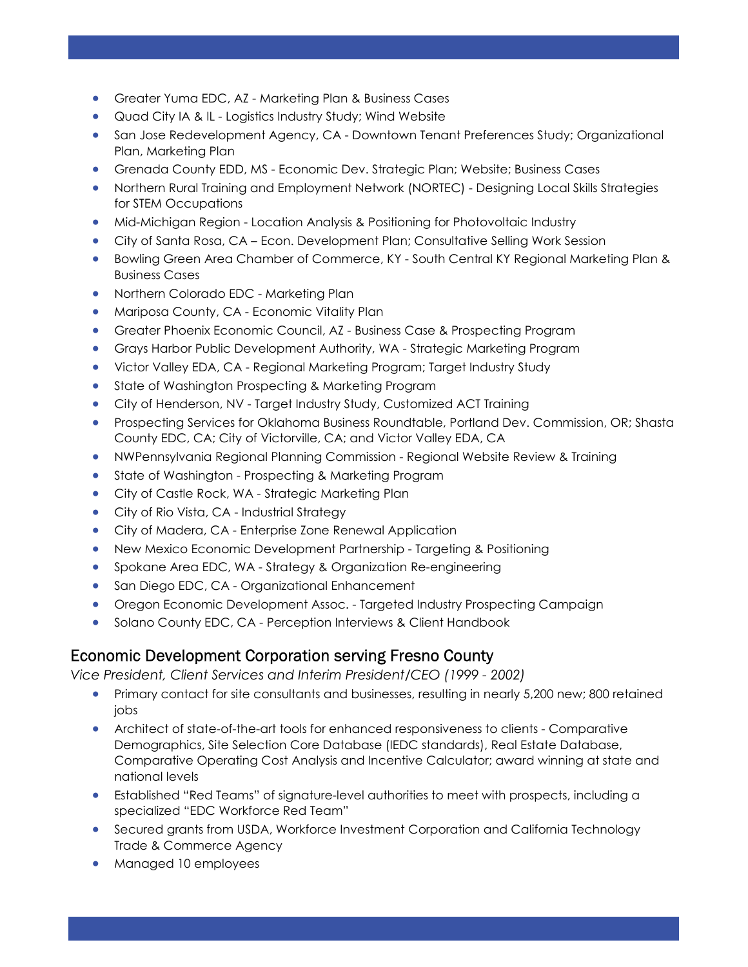- Greater Yuma EDC, AZ Marketing Plan & Business Cases
- Quad City IA & IL Logistics Industry Study; Wind Website
- San Jose Redevelopment Agency, CA Downtown Tenant Preferences Study; Organizational Plan, Marketing Plan

I

I

- Grenada County EDD, MS Economic Dev. Strategic Plan; Website; Business Cases
- Northern Rural Training and Employment Network (NORTEC) Designing Local Skills Strategies for STEM Occupations
- Mid-Michigan Region Location Analysis & Positioning for Photovoltaic Industry
- City of Santa Rosa, CA Econ. Development Plan; Consultative Selling Work Session
- Bowling Green Area Chamber of Commerce, KY South Central KY Regional Marketing Plan & Business Cases
- **Northern Colorado EDC Marketing Plan**
- Mariposa County, CA Economic Vitality Plan
- Greater Phoenix Economic Council, AZ Business Case & Prospecting Program
- Grays Harbor Public Development Authority, WA Strategic Marketing Program
- Victor Valley EDA, CA Regional Marketing Program; Target Industry Study
- State of Washington Prospecting & Marketing Program
- City of Henderson, NV Target Industry Study, Customized ACT Training
- Prospecting Services for Oklahoma Business Roundtable, Portland Dev. Commission, OR; Shasta County EDC, CA; City of Victorville, CA; and Victor Valley EDA, CA
- NWPennsylvania Regional Planning Commission Regional Website Review & Training
- State of Washington Prospecting & Marketing Program
- City of Castle Rock, WA Strategic Marketing Plan
- City of Rio Vista, CA Industrial Strategy
- City of Madera, CA Enterprise Zone Renewal Application
- New Mexico Economic Development Partnership Targeting & Positioning
- Spokane Area EDC, WA Strategy & Organization Re-engineering
- San Diego EDC, CA Organizational Enhancement
- Oregon Economic Development Assoc. Targeted Industry Prospecting Campaign
- **Solano County EDC, CA Perception Interviews & Client Handbook**

# Economic Development Corporation serving Fresno County

Vice President, Client Services and Interim President/CEO (1999 - 2002)

- Primary contact for site consultants and businesses, resulting in nearly 5,200 new; 800 retained jobs
- Architect of state-of-the-art tools for enhanced responsiveness to clients Comparative Demographics, Site Selection Core Database (IEDC standards), Real Estate Database, Comparative Operating Cost Analysis and Incentive Calculator; award winning at state and national levels
- Established "Red Teams" of signature-level authorities to meet with prospects, including a specialized "EDC Workforce Red Team"
- Secured grants from USDA, Workforce Investment Corporation and California Technology Trade & Commerce Agency
- Managed 10 employees